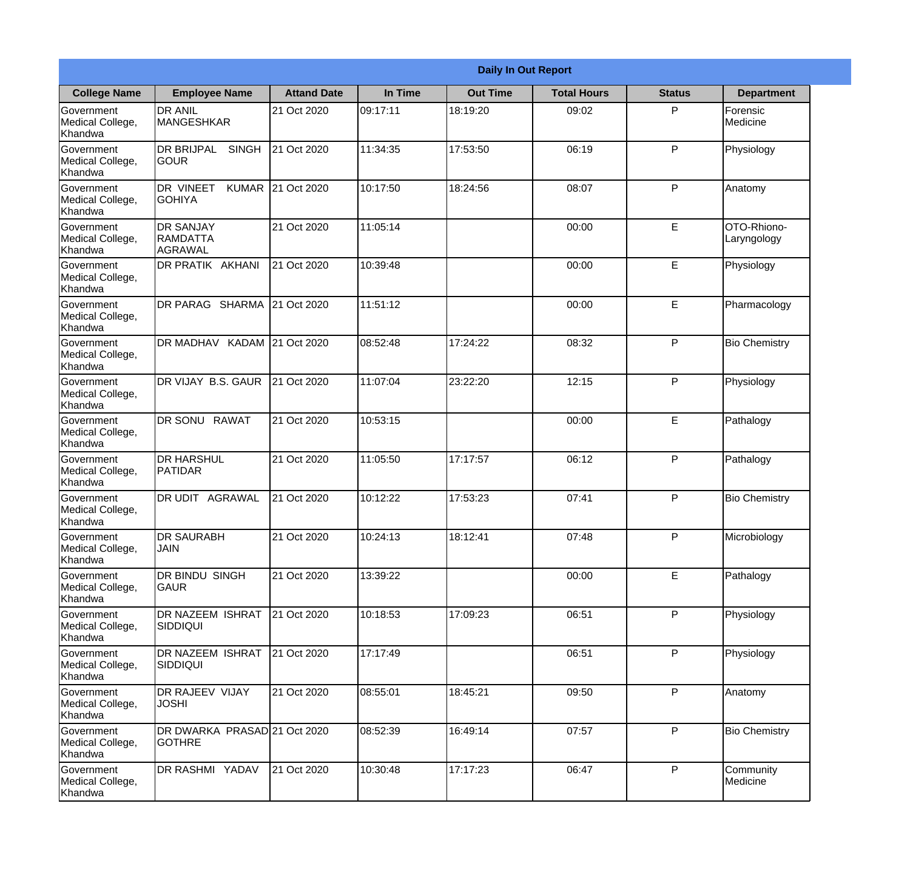|                                                  |                                                       |                    |          | <b>Daily In Out Report</b> |                    |               |                            |
|--------------------------------------------------|-------------------------------------------------------|--------------------|----------|----------------------------|--------------------|---------------|----------------------------|
| <b>College Name</b>                              | <b>Employee Name</b>                                  | <b>Attand Date</b> | In Time  | <b>Out Time</b>            | <b>Total Hours</b> | <b>Status</b> | <b>Department</b>          |
| Government<br>Medical College,<br>Khandwa        | <b>DR ANIL</b><br><b>MANGESHKAR</b>                   | 21 Oct 2020        | 09:17:11 | 18:19:20                   | 09:02              | P             | Forensic<br>Medicine       |
| Government<br>Medical College,<br>Khandwa        | <b>DR BRIJPAL</b><br><b>SINGH</b><br> GOUR            | 21 Oct 2020        | 11:34:35 | 17:53:50                   | 06:19              | P             | Physiology                 |
| <b>Government</b><br>Medical College,<br>Khandwa | <b>DR VINEET</b><br><b>KUMAR</b><br><b>I</b> GOHIYA   | 21 Oct 2020        | 10:17:50 | 18:24:56                   | 08:07              | P             | Anatomy                    |
| Government<br>Medical College,<br>Khandwa        | <b>DR SANJAY</b><br><b>RAMDATTA</b><br><b>AGRAWAL</b> | 21 Oct 2020        | 11:05:14 |                            | 00:00              | E             | OTO-Rhiono-<br>Laryngology |
| Government<br>Medical College,<br>Khandwa        | <b>DR PRATIK AKHANI</b>                               | 21 Oct 2020        | 10:39:48 |                            | 00:00              | E             | Physiology                 |
| Government<br>Medical College,<br>Khandwa        | DR PARAG SHARMA                                       | 21 Oct 2020        | 11:51:12 |                            | 00:00              | E             | Pharmacology               |
| <b>Government</b><br>Medical College,<br>Khandwa | DR MADHAV KADAM 21 Oct 2020                           |                    | 08:52:48 | 17:24:22                   | 08:32              | P             | <b>Bio Chemistry</b>       |
| Government<br>Medical College,<br>Khandwa        | DR VIJAY B.S. GAUR                                    | 21 Oct 2020        | 11:07:04 | 23:22:20                   | 12:15              | P             | Physiology                 |
| Government<br>Medical College,<br>Khandwa        | <b>DR SONU RAWAT</b>                                  | 21 Oct 2020        | 10:53:15 |                            | 00:00              | E             | Pathalogy                  |
| Government<br>Medical College,<br>Khandwa        | <b>DR HARSHUL</b><br>PATIDAR                          | 21 Oct 2020        | 11:05:50 | 17:17:57                   | 06:12              | P             | Pathalogy                  |
| Government<br>Medical College,<br>Khandwa        | IDR UDIT<br><b>AGRAWAL</b>                            | 21 Oct 2020        | 10:12:22 | 17:53:23                   | 07:41              | $\mathsf{P}$  | <b>Bio Chemistry</b>       |
| Government<br>Medical College,<br>Khandwa        | <b>DR SAURABH</b><br><b>JAIN</b>                      | 21 Oct 2020        | 10:24:13 | 18:12:41                   | 07:48              | P             | Microbiology               |
| Government<br>Medical College,<br>Khandwa        | DR BINDU SINGH<br><b>GAUR</b>                         | 21 Oct 2020        | 13:39:22 |                            | 00:00              | E             | Pathalogy                  |
| Government<br>Medical College,<br>Khandwa        | <b>DR NAZEEM ISHRAT</b><br>SIDDIQUI                   | 21 Oct 2020        | 10:18:53 | 17:09:23                   | 06:51              | P             | Physiology                 |
| Government<br>Medical College,<br>Khandwa        | <b>DR NAZEEM ISHRAT</b><br>SIDDIQUI                   | 21 Oct 2020        | 17:17:49 |                            | 06:51              | P             | Physiology                 |
| Government<br>Medical College,<br>Khandwa        | <b>DR RAJEEV VIJAY</b><br><b>JOSHI</b>                | 21 Oct 2020        | 08:55:01 | 18:45:21                   | 09:50              | P             | Anatomy                    |
| Government<br>Medical College,<br>Khandwa        | DR DWARKA PRASAD 21 Oct 2020<br><b>GOTHRE</b>         |                    | 08:52:39 | 16:49:14                   | 07:57              | P             | <b>Bio Chemistry</b>       |
| Government<br>Medical College,<br>Khandwa        | DR RASHMI YADAV                                       | 21 Oct 2020        | 10:30:48 | 17:17:23                   | 06:47              | P             | Community<br>Medicine      |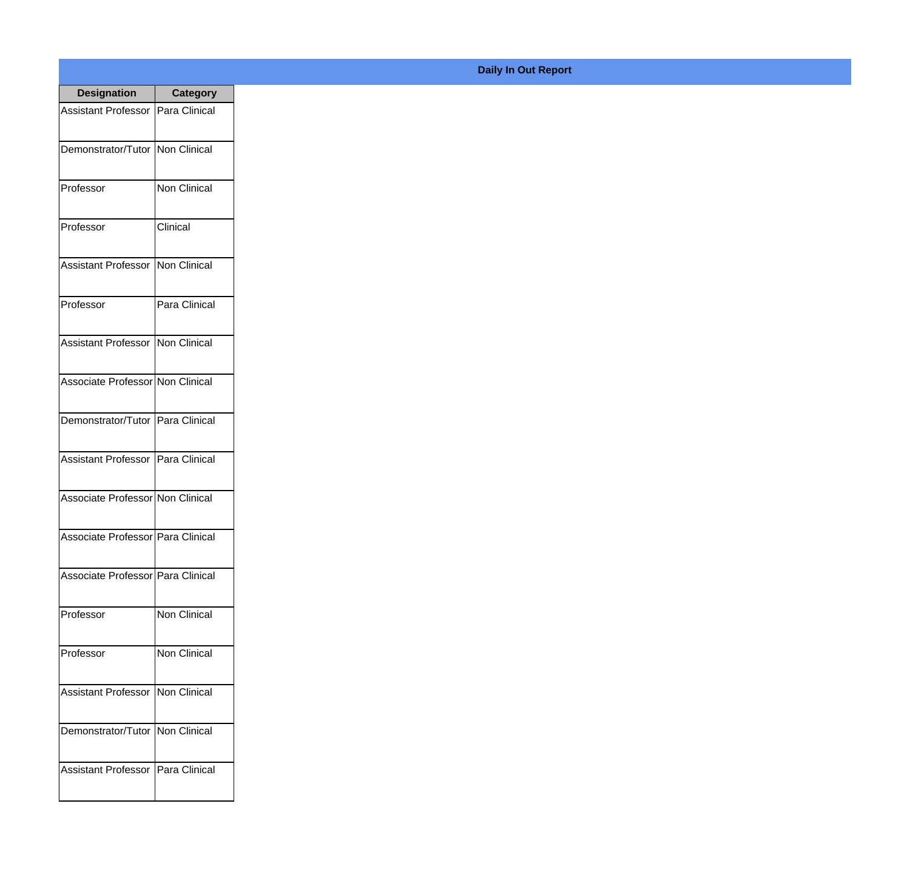| <b>Designation</b>                  | <b>Category</b>     |
|-------------------------------------|---------------------|
| Assistant Professor   Para Clinical |                     |
| Demonstrator/Tutor   Non Clinical   |                     |
| Professor                           | Non Clinical        |
| Professor                           | Clinical            |
| <b>Assistant Professor</b>          | Non Clinical        |
| Professor                           | Para Clinical       |
| Assistant Professor                 | Non Clinical        |
| Associate Professor Non Clinical    |                     |
| Demonstrator/Tutor   Para Clinical  |                     |
| <b>Assistant Professor</b>          | Para Clinical       |
| Associate Professor Non Clinical    |                     |
| Associate Professor   Para Clinical |                     |
| Associate Professor   Para Clinical |                     |
| Professor                           | <b>Non Clinical</b> |
| Professor                           | Non Clinical        |
| <b>Assistant Professor</b>          | Non Clinical        |
| Demonstrator/Tutor   Non Clinical   |                     |
| <b>Assistant Professor</b>          | Para Clinical       |

## **Daily In Out Report**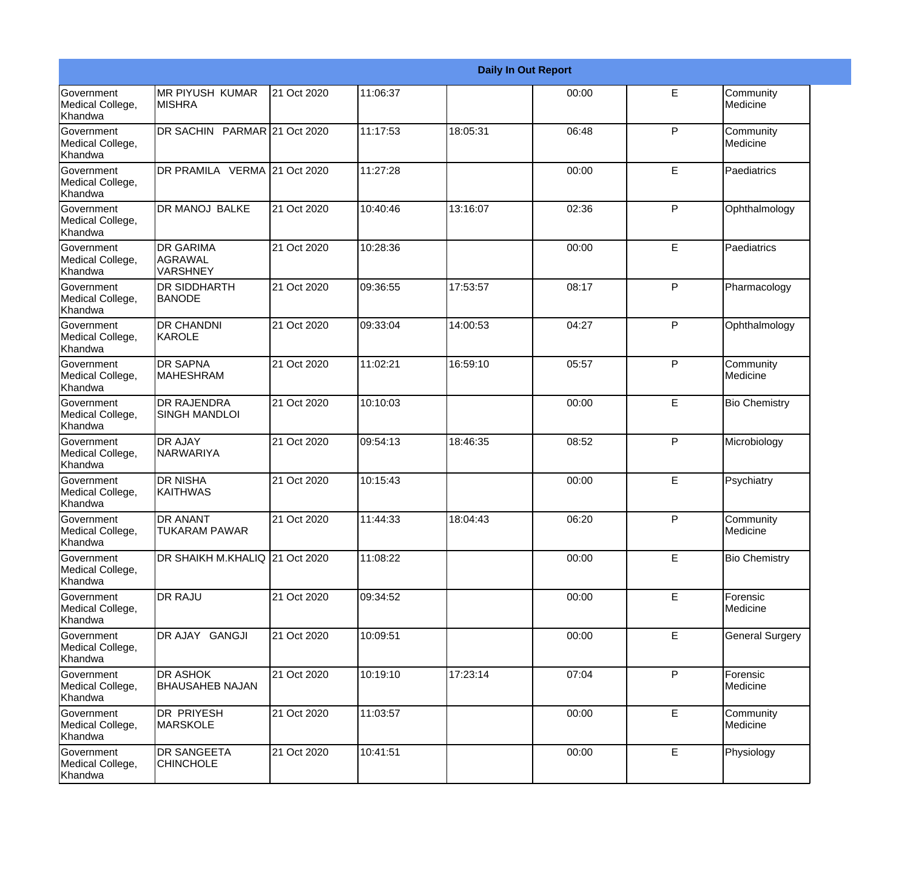|                                                  |                                                       |             |          |          | <b>Daily In Out Report</b> |              |                        |
|--------------------------------------------------|-------------------------------------------------------|-------------|----------|----------|----------------------------|--------------|------------------------|
| Government<br>Medical College,<br>Khandwa        | <b>MR PIYUSH KUMAR</b><br><b>MISHRA</b>               | 21 Oct 2020 | 11:06:37 |          | 00:00                      | E            | Community<br>Medicine  |
| <b>Government</b><br>Medical College,<br>Khandwa | DR SACHIN PARMAR 21 Oct 2020                          |             | 11:17:53 | 18:05:31 | 06:48                      | $\mathsf{P}$ | Community<br>Medicine  |
| <b>Government</b><br>Medical College,<br>Khandwa | DR PRAMILA VERMA 21 Oct 2020                          |             | 11:27:28 |          | 00:00                      | E            | Paediatrics            |
| <b>Government</b><br>Medical College,<br>Khandwa | <b>DR MANOJ BALKE</b>                                 | 21 Oct 2020 | 10:40:46 | 13:16:07 | 02:36                      | $\mathsf{P}$ | Ophthalmology          |
| Government<br>Medical College,<br>Khandwa        | <b>DR GARIMA</b><br><b>AGRAWAL</b><br><b>VARSHNEY</b> | 21 Oct 2020 | 10:28:36 |          | 00:00                      | E            | Paediatrics            |
| <b>Government</b><br>Medical College,<br>Khandwa | <b>DR SIDDHARTH</b><br><b>BANODE</b>                  | 21 Oct 2020 | 09:36:55 | 17:53:57 | 08:17                      | $\mathsf{P}$ | Pharmacology           |
| Government<br>Medical College,<br>Khandwa        | <b>DR CHANDNI</b><br>KAROLE                           | 21 Oct 2020 | 09:33:04 | 14:00:53 | 04:27                      | P            | Ophthalmology          |
| Government<br>Medical College,<br>Khandwa        | <b>DR SAPNA</b><br><b>MAHESHRAM</b>                   | 21 Oct 2020 | 11:02:21 | 16:59:10 | 05:57                      | P            | Community<br>Medicine  |
| Government<br>Medical College,<br>Khandwa        | <b>DR RAJENDRA</b><br><b>SINGH MANDLOI</b>            | 21 Oct 2020 | 10:10:03 |          | 00:00                      | E            | <b>Bio Chemistry</b>   |
| <b>Government</b><br>Medical College,<br>Khandwa | <b>DR AJAY</b><br>NARWARIYA                           | 21 Oct 2020 | 09:54:13 | 18:46:35 | 08:52                      | $\mathsf{P}$ | Microbiology           |
| <b>Government</b><br>Medical College,<br>Khandwa | <b>DR NISHA</b><br><b>KAITHWAS</b>                    | 21 Oct 2020 | 10:15:43 |          | 00:00                      | E            | Psychiatry             |
| Government<br>Medical College,<br>Khandwa        | <b>DR ANANT</b><br><b>TUKARAM PAWAR</b>               | 21 Oct 2020 | 11:44:33 | 18:04:43 | 06:20                      | P            | Community<br>Medicine  |
| <b>Government</b><br>Medical College,<br>Khandwa | DR SHAIKH M.KHALIQ 21 Oct 2020                        |             | 11:08:22 |          | 00:00                      | E            | <b>Bio Chemistry</b>   |
| Government<br>Medical College,<br>Khandwa        | DR RAJU                                               | 21 Oct 2020 | 09:34:52 |          | 00:00                      | E            | Forensic<br>Medicine   |
| Government<br>Medical College,<br>Khandwa        | DR AJAY GANGJI                                        | 21 Oct 2020 | 10:09:51 |          | 00:00                      | E            | <b>General Surgery</b> |
| Government<br>Medical College,<br>Khandwa        | <b>DR ASHOK</b><br><b>BHAUSAHEB NAJAN</b>             | 21 Oct 2020 | 10:19:10 | 17:23:14 | 07:04                      | $\mathsf{P}$ | Forensic<br>Medicine   |
| Government<br>Medical College,<br>Khandwa        | DR PRIYESH<br><b>MARSKOLE</b>                         | 21 Oct 2020 | 11:03:57 |          | 00:00                      | E            | Community<br>Medicine  |
| Government<br>Medical College,<br>Khandwa        | DR SANGEETA<br><b>CHINCHOLE</b>                       | 21 Oct 2020 | 10:41:51 |          | 00:00                      | E            | Physiology             |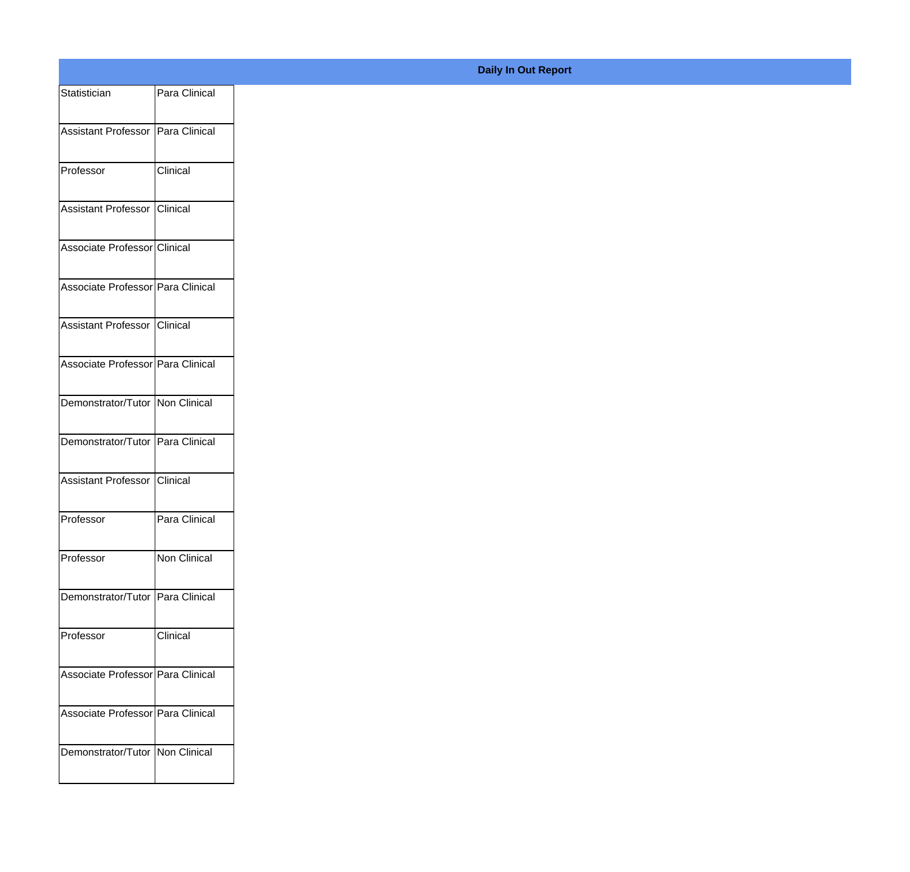| Statistician                      | Para Clinical   |
|-----------------------------------|-----------------|
| Assistant Professor Para Clinical |                 |
|                                   | Clinical        |
| Professor                         |                 |
| Assistant Professor Clinical      |                 |
| Associate Professor Clinical      |                 |
| Associate Professor Para Clinical |                 |
| Assistant Professor Clinical      |                 |
| Associate Professor Para Clinical |                 |
| Demonstrator/Tutor Non Clinical   |                 |
| Demonstrator/Tutor Para Clinical  |                 |
| Assistant Professor Clinical      |                 |
| Professor                         | Para Clinical   |
|                                   |                 |
| Professor                         | Non Clinical    |
| Demonstrator/Tutor Para Clinical  |                 |
| Professor                         | <b>Clinical</b> |
| Associate Professor Para Clinical |                 |
| Associate Professor Para Clinical |                 |
| Demonstrator/Tutor Non Clinical   |                 |
|                                   |                 |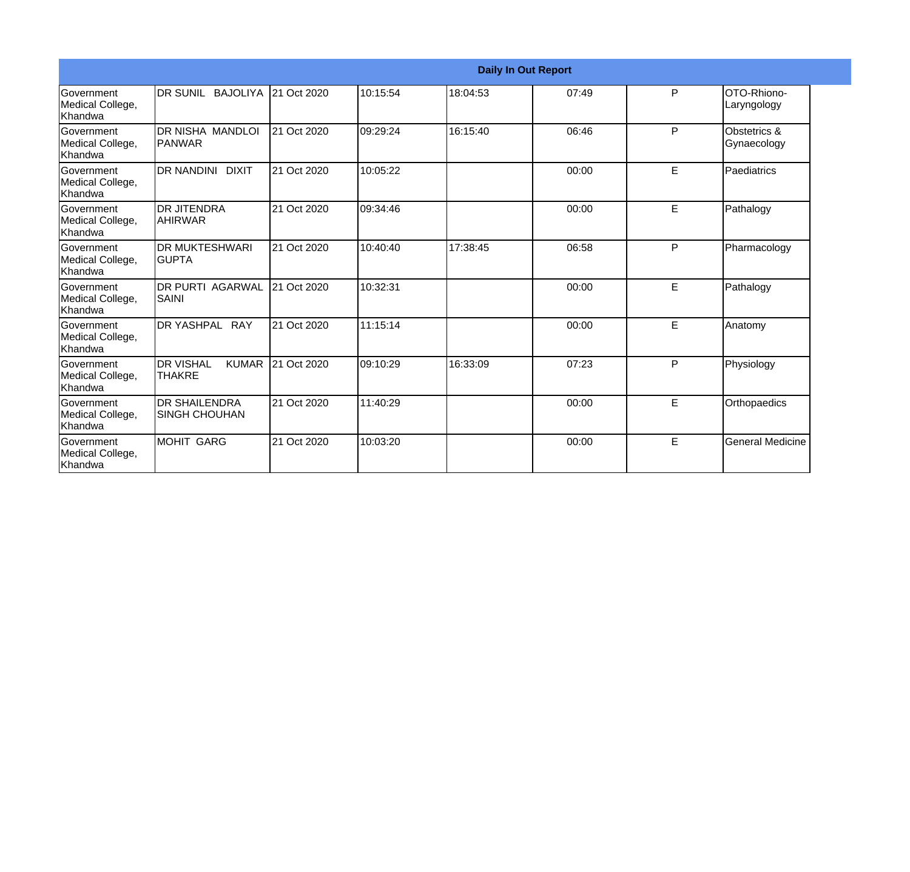|                                                  |                                                   |             |          |          | <b>Daily In Out Report</b> |    |                             |
|--------------------------------------------------|---------------------------------------------------|-------------|----------|----------|----------------------------|----|-----------------------------|
| Government<br>Medical College,<br><b>Khandwa</b> | DR SUNIL BAJOLIYA                                 | 21 Oct 2020 | 10:15:54 | 18:04:53 | 07:49                      | P  | OTO-Rhiono-<br>Laryngology  |
| Government<br>Medical College,<br>Khandwa        | DR NISHA MANDLOI<br>PANWAR                        | 21 Oct 2020 | 09:29:24 | 16:15:40 | 06:46                      | P  | Obstetrics &<br>Gynaecology |
| Government<br>Medical College,<br>Khandwa        | DR NANDINI DIXIT                                  | 21 Oct 2020 | 10:05:22 |          | 00:00                      | E  | Paediatrics                 |
| Government<br>Medical College,<br>Khandwa        | <b>DR JITENDRA</b><br><b>AHIRWAR</b>              | 21 Oct 2020 | 09:34:46 |          | 00:00                      | E. | Pathalogy                   |
| Government<br>Medical College,<br><b>Khandwa</b> | <b>DR MUKTESHWARI</b><br><b>GUPTA</b>             | 21 Oct 2020 | 10:40:40 | 17:38:45 | 06:58                      | P  | Pharmacology                |
| Government<br>Medical College,<br>Khandwa        | <b>DR PURTI AGARWAL</b><br><b>SAINI</b>           | 21 Oct 2020 | 10:32:31 |          | 00:00                      | E  | Pathalogy                   |
| Government<br>Medical College,<br><b>Khandwa</b> | DR YASHPAL RAY                                    | 21 Oct 2020 | 11:15:14 |          | 00:00                      | E  | Anatomy                     |
| <b>Government</b><br>Medical College,<br>Khandwa | <b>DR VISHAL</b><br><b>KUMAR</b><br><b>THAKRE</b> | 21 Oct 2020 | 09:10:29 | 16:33:09 | 07:23                      | P  | Physiology                  |
| Government<br>Medical College,<br>Khandwa        | <b>DR SHAILENDRA</b><br><b>SINGH CHOUHAN</b>      | 21 Oct 2020 | 11:40:29 |          | 00:00                      | E. | Orthopaedics                |
| <b>Government</b><br>Medical College,<br>Khandwa | <b>MOHIT GARG</b>                                 | 21 Oct 2020 | 10:03:20 |          | 00:00                      | E. | <b>General Medicine</b>     |